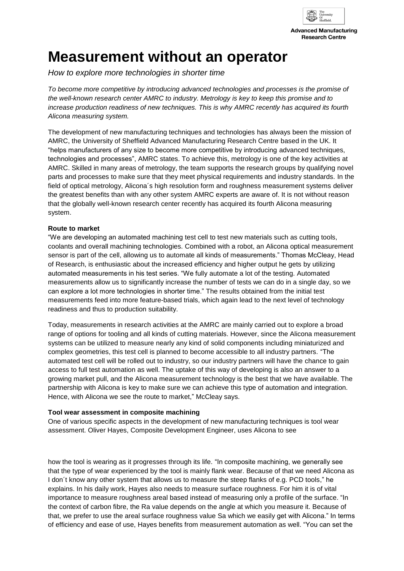

# **Measurement without an operator**

*How to explore more technologies in shorter time*

*To become more competitive by introducing advanced technologies and processes is the promise of the well-known research center AMRC to industry. Metrology is key to keep this promise and to increase production readiness of new techniques. This is why AMRC recently has acquired its fourth Alicona measuring system.* 

The development of new manufacturing techniques and technologies has always been the mission of AMRC, the University of Sheffield Advanced Manufacturing Research Centre based in the UK. It "helps manufacturers of any size to become more competitive by introducing advanced techniques, technologies and processes", AMRC states. To achieve this, metrology is one of the key activities at AMRC. Skilled in many areas of metrology, the team supports the research groups by qualifying novel parts and processes to make sure that they meet physical requirements and industry standards. In the field of optical metrology, Alicona´s high resolution form and roughness measurement systems deliver the greatest benefits than with any other system AMRC experts are aware of. It is not without reason that the globally well-known research center recently has acquired its fourth Alicona measuring system.

#### **Route to market**

"We are developing an automated machining test cell to test new materials such as cutting tools, coolants and overall machining technologies. Combined with a robot, an Alicona optical measurement sensor is part of the cell, allowing us to automate all kinds of measurements." Thomas McCleay, Head of Research, is enthusiastic about the increased efficiency and higher output he gets by utilizing automated measurements in his test series. "We fully automate a lot of the testing. Automated measurements allow us to significantly increase the number of tests we can do in a single day, so we can explore a lot more technologies in shorter time." The results obtained from the initial test measurements feed into more feature-based trials, which again lead to the next level of technology readiness and thus to production suitability.

Today, measurements in research activities at the AMRC are mainly carried out to explore a broad range of options for tooling and all kinds of cutting materials. However, since the Alicona measurement systems can be utilized to measure nearly any kind of solid components including miniaturized and complex geometries, this test cell is planned to become accessible to all industry partners. "The automated test cell will be rolled out to industry, so our industry partners will have the chance to gain access to full test automation as well. The uptake of this way of developing is also an answer to a growing market pull, and the Alicona measurement technology is the best that we have available. The partnership with Alicona is key to make sure we can achieve this type of automation and integration. Hence, with Alicona we see the route to market," McCleay says.

#### **Tool wear assessment in composite machining**

One of various specific aspects in the development of new manufacturing techniques is tool wear assessment. Oliver Hayes, Composite Development Engineer, uses Alicona to see

how the tool is wearing as it progresses through its life. "In composite machining, we generally see that the type of wear experienced by the tool is mainly flank wear. Because of that we need Alicona as I don´t know any other system that allows us to measure the steep flanks of e.g. PCD tools," he explains. In his daily work, Hayes also needs to measure surface roughness. For him it is of vital importance to measure roughness areal based instead of measuring only a profile of the surface. "In the context of carbon fibre, the Ra value depends on the angle at which you measure it. Because of that, we prefer to use the areal surface roughness value Sa which we easily get with Alicona." In terms of efficiency and ease of use, Hayes benefits from measurement automation as well. "You can set the